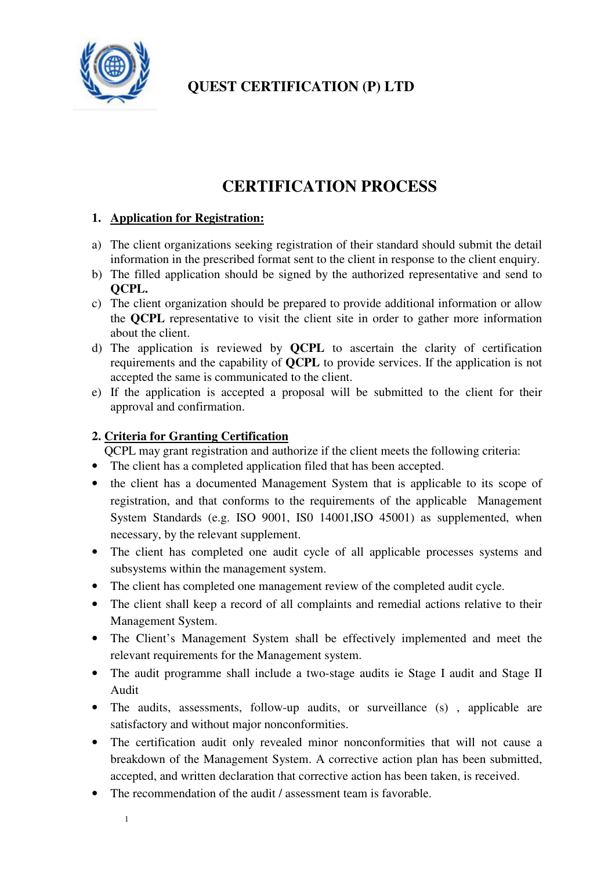

# **CERTIFICATION PROCESS**

## **1. Application for Registration:**

- a) The client organizations seeking registration of their standard should submit the detail information in the prescribed format sent to the client in response to the client enquiry.
- b) The filled application should be signed by the authorized representative and send to **QCPL.**
- c) The client organization should be prepared to provide additional information or allow the **QCPL** representative to visit the client site in order to gather more information about the client.
- d) The application is reviewed by **QCPL** to ascertain the clarity of certification requirements and the capability of **QCPL** to provide services. If the application is not accepted the same is communicated to the client.
- e) If the application is accepted a proposal will be submitted to the client for their approval and confirmation.

## **2. Criteria for Granting Certification**

QCPL may grant registration and authorize if the client meets the following criteria:

- The client has a completed application filed that has been accepted.
- the client has a documented Management System that is applicable to its scope of registration, and that conforms to the requirements of the applicable Management System Standards (e.g. ISO 9001, IS0 14001,ISO 45001) as supplemented, when necessary, by the relevant supplement.
- The client has completed one audit cycle of all applicable processes systems and subsystems within the management system.
- The client has completed one management review of the completed audit cycle.
- The client shall keep a record of all complaints and remedial actions relative to their Management System.
- The Client's Management System shall be effectively implemented and meet the relevant requirements for the Management system.
- The audit programme shall include a two-stage audits ie Stage I audit and Stage II Audit
- The audits, assessments, follow-up audits, or surveillance (s), applicable are satisfactory and without major nonconformities.
- The certification audit only revealed minor nonconformities that will not cause a breakdown of the Management System. A corrective action plan has been submitted, accepted, and written declaration that corrective action has been taken, is received.
- The recommendation of the audit *l* assessment team is favorable.
	- 1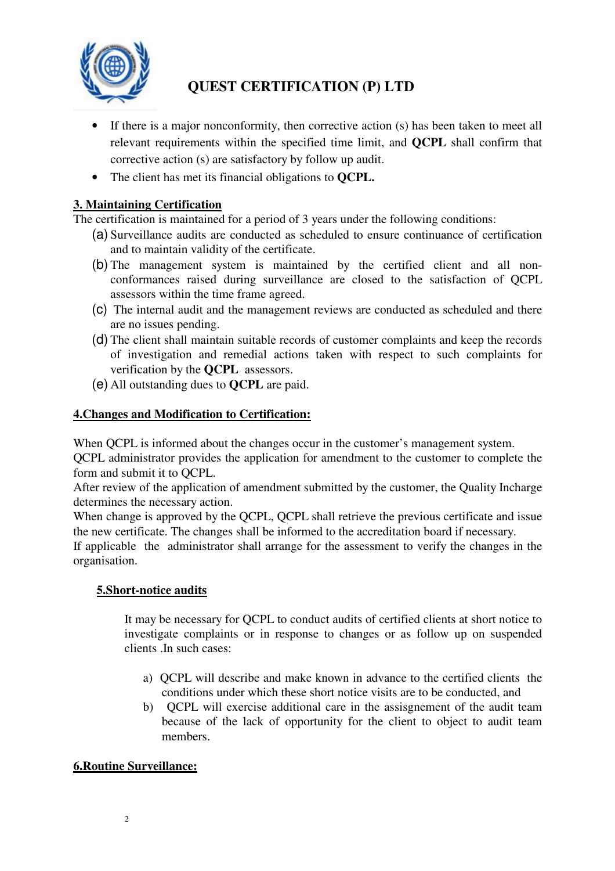

- If there is a major nonconformity, then corrective action (s) has been taken to meet all relevant requirements within the specified time limit, and **QCPL** shall confirm that corrective action (s) are satisfactory by follow up audit.
- The client has met its financial obligations to **QCPL.**

## **3. Maintaining Certification**

The certification is maintained for a period of 3 years under the following conditions:

- (a) Surveillance audits are conducted as scheduled to ensure continuance of certification and to maintain validity of the certificate.
- (b) The management system is maintained by the certified client and all nonconformances raised during surveillance are closed to the satisfaction of QCPL assessors within the time frame agreed.
- (c) The internal audit and the management reviews are conducted as scheduled and there are no issues pending.
- (d) The client shall maintain suitable records of customer complaints and keep the records of investigation and remedial actions taken with respect to such complaints for verification by the **QCPL** assessors.
- (e) All outstanding dues to **QCPL** are paid.

#### **4.Changes and Modification to Certification:**

When QCPL is informed about the changes occur in the customer's management system.

QCPL administrator provides the application for amendment to the customer to complete the form and submit it to QCPL.

After review of the application of amendment submitted by the customer, the Quality Incharge determines the necessary action.

When change is approved by the QCPL, QCPL shall retrieve the previous certificate and issue the new certificate. The changes shall be informed to the accreditation board if necessary.

If applicable the administrator shall arrange for the assessment to verify the changes in the organisation.

## **5.Short-notice audits**

It may be necessary for QCPL to conduct audits of certified clients at short notice to investigate complaints or in response to changes or as follow up on suspended clients. In such cases:

- a) QCPL will describe and make known in advance to the certified clients the conditions under which these short notice visits are to be conducted, and
- b) QCPL will exercise additional care in the assisgnement of the audit team because of the lack of opportunity for the client to object to audit team members.

## **6.Routine Surveillance:**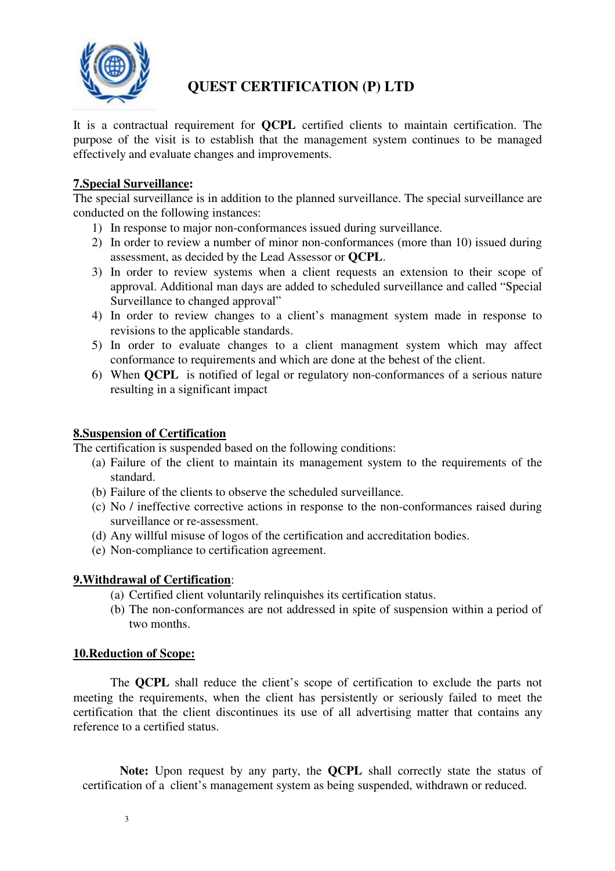

It is a contractual requirement for **QCPL** certified clients to maintain certification. The purpose of the visit is to establish that the management system continues to be managed effectively and evaluate changes and improvements.

#### **7.Special Surveillance:**

The special surveillance is in addition to the planned surveillance. The special surveillance are conducted on the following instances:

- 1) In response to major non-conformances issued during surveillance.
- 2) In order to review a number of minor non-conformances (more than 10) issued during assessment, as decided by the Lead Assessor or **QCPL**.
- 3) In order to review systems when a client requests an extension to their scope of approval. Additional man days are added to scheduled surveillance and called "Special Surveillance to changed approval"
- 4) In order to review changes to a client's managment system made in response to revisions to the applicable standards.
- 5) In order to evaluate changes to a client managment system which may affect conformance to requirements and which are done at the behest of the client.
- 6) When **QCPL** is notified of legal or regulatory non-conformances of a serious nature resulting in a significant impact

#### **8.Suspension of Certification**

The certification is suspended based on the following conditions:

- (a) Failure of the client to maintain its management system to the requirements of the standard.
- (b) Failure of the clients to observe the scheduled surveillance.
- (c) No / ineffective corrective actions in response to the non-conformances raised during surveillance or re-assessment.
- (d) Any willful misuse of logos of the certification and accreditation bodies.
- (e) Non-compliance to certification agreement.

#### **9.Withdrawal of Certification**:

- (a) Certified client voluntarily relinquishes its certification status.
- (b) The non-conformances are not addressed in spite of suspension within a period of two months.

#### **10.Reduction of Scope:**

The **QCPL** shall reduce the client's scope of certification to exclude the parts not meeting the requirements, when the client has persistently or seriously failed to meet the certification that the client discontinues its use of all advertising matter that contains any reference to a certified status.

**Note:** Upon request by any party, the **QCPL** shall correctly state the status of certification of a client's management system as being suspended, withdrawn or reduced.